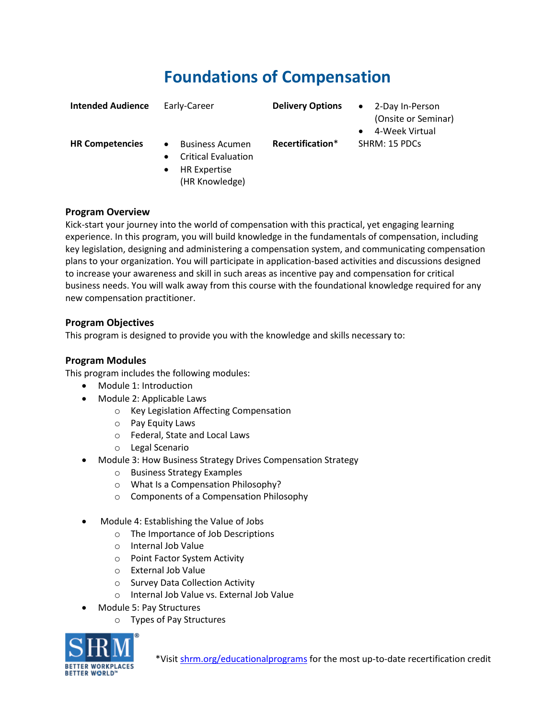## **Foundations of Compensation**

| <b>Intended Audience</b> | Early-Career                                                                                                                         | <b>Delivery Options</b> | 2-Day In-Person<br>$\bullet$<br>(Onsite or Seminar)<br>4-Week Virtual<br>٠ |
|--------------------------|--------------------------------------------------------------------------------------------------------------------------------------|-------------------------|----------------------------------------------------------------------------|
| <b>HR Competencies</b>   | <b>Business Acumen</b><br>$\bullet$<br><b>Critical Evaluation</b><br>$\bullet$<br><b>HR Expertise</b><br>$\bullet$<br>(HR Knowledge) | Recertification*        | SHRM: 15 PDCs                                                              |

## **Program Overview**

Kick-start your journey into the world of compensation with this practical, yet engaging learning experience. In this program, you will build knowledge in the fundamentals of compensation, including key legislation, designing and administering a compensation system, and communicating compensation plans to your organization. You will participate in application-based activities and discussions designed to increase your awareness and skill in such areas as incentive pay and compensation for critical business needs. You will walk away from this course with the foundational knowledge required for any new compensation practitioner.

## **Program Objectives**

This program is designed to provide you with the knowledge and skills necessary to:

## **Program Modules**

This program includes the following modules:

- Module 1: Introduction
- Module 2: Applicable Laws
	- o Key Legislation Affecting Compensation
	- o Pay Equity Laws
	- o Federal, State and Local Laws
	- o Legal Scenario
- Module 3: How Business Strategy Drives Compensation Strategy
	- o Business Strategy Examples
	- o What Is a Compensation Philosophy?
	- o Components of a Compensation Philosophy
- Module 4: Establishing the Value of Jobs
	- o The Importance of Job Descriptions
	- o Internal Job Value
	- o Point Factor System Activity
	- o External Job Value
	- o Survey Data Collection Activity
	- o Internal Job Value vs. External Job Value
- Module 5: Pay Structures
	- o Types of Pay Structures

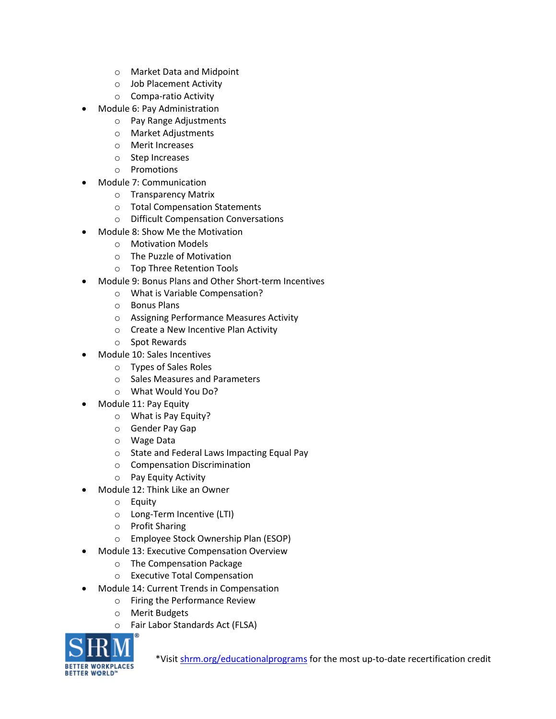- o Market Data and Midpoint
- o Job Placement Activity
- o Compa-ratio Activity
- Module 6: Pay Administration
	- o Pay Range Adjustments
	- o Market Adjustments
	- o Merit Increases
	- o Step Increases
	- o Promotions
- Module 7: Communication
	- o Transparency Matrix
	- o Total Compensation Statements
	- o Difficult Compensation Conversations
- Module 8: Show Me the Motivation
	- o Motivation Models
	- o The Puzzle of Motivation
	- o Top Three Retention Tools
- Module 9: Bonus Plans and Other Short-term Incentives
	- o What is Variable Compensation?
	- o Bonus Plans
	- o Assigning Performance Measures Activity
	- o Create a New Incentive Plan Activity
	- o Spot Rewards
- Module 10: Sales Incentives
	- o Types of Sales Roles
	- o Sales Measures and Parameters
	- o What Would You Do?
- Module 11: Pay Equity
	- o What is Pay Equity?
	- o Gender Pay Gap
	- o Wage Data
	- o State and Federal Laws Impacting Equal Pay
	- o Compensation Discrimination
	- o Pay Equity Activity
- Module 12: Think Like an Owner
	- o Equity
	- o Long-Term Incentive (LTI)
	- o Profit Sharing
	- o Employee Stock Ownership Plan (ESOP)
	- Module 13: Executive Compensation Overview
		- o The Compensation Package
		- o Executive Total Compensation
- Module 14: Current Trends in Compensation
	- o Firing the Performance Review
	- o Merit Budgets
	- o Fair Labor Standards Act (FLSA)



\*Visi[t shrm.org/educationalprograms](https://www.shrm.org/LearningAndCareer/learning/Pages/EducationalPrograms.aspx) for the most up-to-date recertification credit